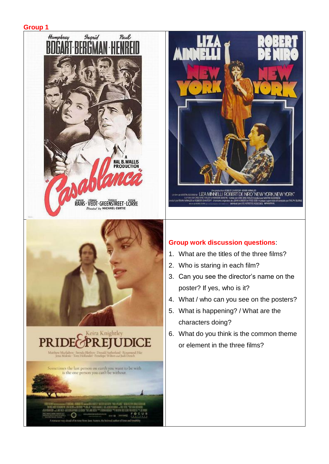







- 1. What are the titles of the three films?
- 2. Who is staring in each film?
- 3. Can you see the director's name on the poster? If yes, who is it?
- 4. What / who can you see on the posters?
- 5. What is happening? / What are the characters doing?
- 6. What do you think is the common theme or element in the three films?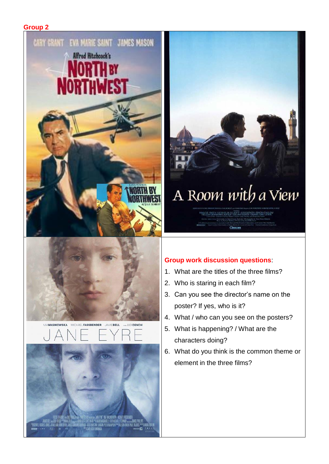#### **Group 2**





# A Room with a View

MAGGE SMITH - DENHOLM ELLIOTT - JUDI DENCH - SIMON CALLON  $Cine$ 

- 1. What are the titles of the three films?
- 2. Who is staring in each film?
- 3. Can you see the director's name on the poster? If yes, who is it?
- 4. What / who can you see on the posters?
- 5. What is happening? / What are the characters doing?
- 6. What do you think is the common theme or element in the three films?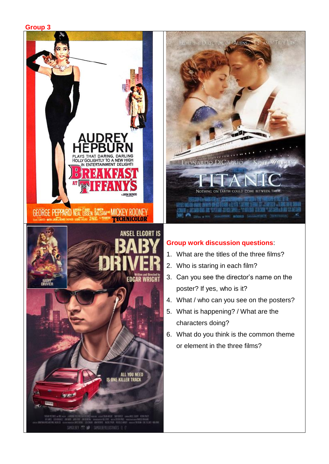**Group 3**





- 1. What are the titles of the three films?
- 2. Who is staring in each film?
- 3. Can you see the director's name on the poster? If yes, who is it?
- 4. What / who can you see on the posters?
- 5. What is happening? / What are the characters doing?
- 6. What do you think is the common theme or element in the three films?